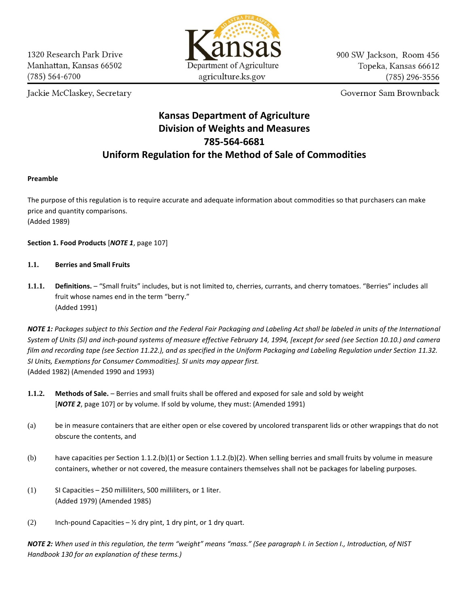Jackie McClaskey, Secretary



900 SW Jackson, Room 456 Topeka, Kansas 66612  $(785)$  296-3556

Governor Sam Brownback

# **Kansas Department of Agriculture Division of Weights and Measures 785-564-6681 Uniform Regulation for the Method of Sale of Commodities**

# **Preamble**

The purpose of this regulation is to require accurate and adequate information about commodities so that purchasers can make price and quantity comparisons. (Added 1989)

**Section 1. Food Products** [*NOTE 1*, page 107]

# **1.1. Berries and Small Fruits**

**1.1.1. Definitions.** – "Small fruits" includes, but is not limited to, cherries, currants, and cherry tomatoes. "Berries" includes all fruit whose names end in the term "berry." (Added 1991)

*NOTE 1: Packages subject to this Section and the Federal Fair Packaging and Labeling Act shall be labeled in units of the International System of Units (SI) and inch-pound systems of measure effective February 14, 1994, [except for seed (see Section 10.10.) and camera film and recording tape (see Section 11.22.), and as specified in the Uniform Packaging and Labeling Regulation under Section 11.32. SI Units, Exemptions for Consumer Commodities]. SI units may appear first.* (Added 1982) (Amended 1990 and 1993)

- **1.1.2. Methods of Sale.**  Berries and small fruits shall be offered and exposed for sale and sold by weight [*NOTE 2*, page 107] or by volume. If sold by volume, they must: (Amended 1991)
- (a) be in measure containers that are either open or else covered by uncolored transparent lids or other wrappings that do not obscure the contents, and
- (b) have capacities per Section 1.1.2.(b)(1) or Section 1.1.2.(b)(2). When selling berries and small fruits by volume in measure containers, whether or not covered, the measure containers themselves shall not be packages for labeling purposes.
- (1) SI Capacities 250 milliliters, 500 milliliters, or 1 liter. (Added 1979) (Amended 1985)
- (2) Inch-pound Capacities  $\frac{1}{2}$  dry pint, 1 dry pint, or 1 dry quart.

*NOTE 2: When used in this regulation, the term "weight" means "mass." (See paragraph I. in Section I., Introduction, of NIST Handbook 130 for an explanation of these terms.)*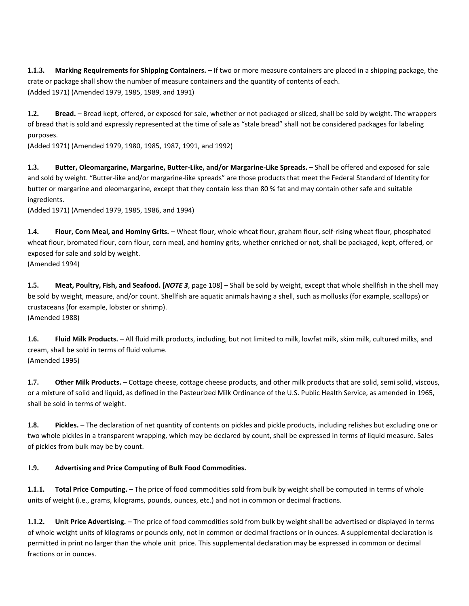**1.1.3. Marking Requirements for Shipping Containers.** – If two or more measure containers are placed in a shipping package, the crate or package shall show the number of measure containers and the quantity of contents of each. (Added 1971) (Amended 1979, 1985, 1989, and 1991)

**1.2. Bread.** – Bread kept, offered, or exposed for sale, whether or not packaged or sliced, shall be sold by weight. The wrappers of bread that is sold and expressly represented at the time of sale as "stale bread" shall not be considered packages for labeling purposes.

(Added 1971) (Amended 1979, 1980, 1985, 1987, 1991, and 1992)

**1.3. Butter, Oleomargarine, Margarine, Butter-Like, and/or Margarine-Like Spreads.** – Shall be offered and exposed for sale and sold by weight. "Butter-like and/or margarine-like spreads" are those products that meet the Federal Standard of Identity for butter or margarine and oleomargarine, except that they contain less than 80 % fat and may contain other safe and suitable ingredients.

(Added 1971) (Amended 1979, 1985, 1986, and 1994)

**1.4. Flour, Corn Meal, and Hominy Grits.** – Wheat flour, whole wheat flour, graham flour, self-rising wheat flour, phosphated wheat flour, bromated flour, corn flour, corn meal, and hominy grits, whether enriched or not, shall be packaged, kept, offered, or exposed for sale and sold by weight.

(Amended 1994)

**1.5. Meat, Poultry, Fish, and Seafood.** [*NOTE 3*, page 108] – Shall be sold by weight, except that whole shellfish in the shell may be sold by weight, measure, and/or count. Shellfish are aquatic animals having a shell, such as mollusks (for example, scallops) or crustaceans (for example, lobster or shrimp). (Amended 1988)

**1.6. Fluid Milk Products.** – All fluid milk products, including, but not limited to milk, lowfat milk, skim milk, cultured milks, and cream, shall be sold in terms of fluid volume. (Amended 1995)

**1.7. Other Milk Products.** – Cottage cheese, cottage cheese products, and other milk products that are solid, semi solid, viscous, or a mixture of solid and liquid, as defined in the Pasteurized Milk Ordinance of the U.S. Public Health Service, as amended in 1965, shall be sold in terms of weight.

1.8. Pickles. - The declaration of net quantity of contents on pickles and pickle products, including relishes but excluding one or two whole pickles in a transparent wrapping, which may be declared by count, shall be expressed in terms of liquid measure. Sales of pickles from bulk may be by count.

# **1.9. Advertising and Price Computing of Bulk Food Commodities.**

**1.1.1. Total Price Computing.** – The price of food commodities sold from bulk by weight shall be computed in terms of whole units of weight (i.e., grams, kilograms, pounds, ounces, etc.) and not in common or decimal fractions.

**1.1.2. Unit Price Advertising.** – The price of food commodities sold from bulk by weight shall be advertised or displayed in terms of whole weight units of kilograms or pounds only, not in common or decimal fractions or in ounces. A supplemental declaration is permitted in print no larger than the whole unit price. This supplemental declaration may be expressed in common or decimal fractions or in ounces.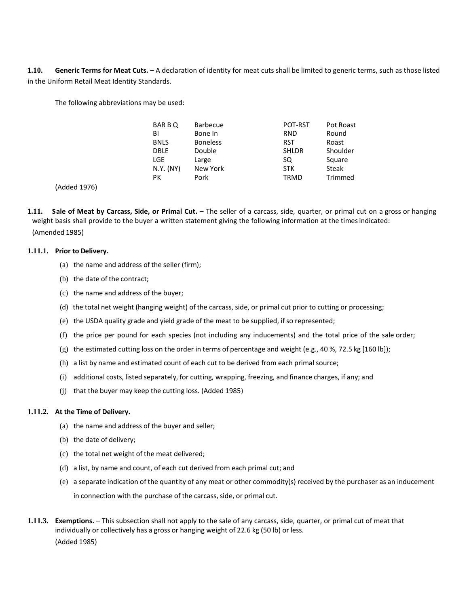**1.10. Generic Terms for Meat Cuts.** – A declaration of identity for meat cuts shall be limited to generic terms, such as those listed in the Uniform Retail Meat Identity Standards.

The following abbreviations may be used:

| BAR B Q     | Barbecue        | POT-RST      | Pot Roast    |
|-------------|-----------------|--------------|--------------|
| BI          | Bone In         | <b>RND</b>   | Round        |
| <b>BNLS</b> | <b>Boneless</b> | <b>RST</b>   | Roast        |
| <b>DBLE</b> | Double          | <b>SHLDR</b> | Shoulder     |
| LGE         | Large           | SQ           | Square       |
| N.Y. (NY)   | New York        | <b>STK</b>   | <b>Steak</b> |
| PК          | Pork            | TRMD         | Trimmed      |

(Added 1976)

**1.11. Sale of Meat by Carcass, Side, or Primal Cut.** – The seller of a carcass, side, quarter, or primal cut on a gross or hanging weight basis shall provide to the buyer a written statement giving the following information at the times indicated: (Amended 1985)

#### **1.11.1. Prior to Delivery.**

- (a) the name and address of the seller (firm);
- (b) the date of the contract;
- (c) the name and address of the buyer;
- (d) the total net weight (hanging weight) of the carcass, side, or primal cut prior to cutting or processing;
- (e) the USDA quality grade and yield grade of the meat to be supplied, ifso represented;
- (f) the price per pound for each species (not including any inducements) and the total price of the sale order;
- (g) the estimated cutting loss on the order in terms of percentage and weight (e.g., 40 %, 72.5 kg [160 lb]);
- (h) a list by name and estimated count of each cut to be derived from each primal source;
- (i) additional costs, listed separately, for cutting, wrapping, freezing, and finance charges, if any; and
- (j) that the buyer may keep the cutting loss. (Added 1985)

#### **1.11.2. At the Time of Delivery.**

- (a) the name and address of the buyer and seller;
- (b) the date of delivery;
- (c) the total net weight of the meat delivered;
- (d) a list, by name and count, of each cut derived from each primal cut; and
- (e) a separate indication of the quantity of any meat or other commodity(s) received by the purchaser as an inducement in connection with the purchase of the carcass, side, or primal cut.
- **1.11.3. Exemptions.** This subsection shall not apply to the sale of any carcass, side, quarter, or primal cut of meat that individually or collectively has a gross or hanging weight of 22.6 kg (50 lb) or less. (Added 1985)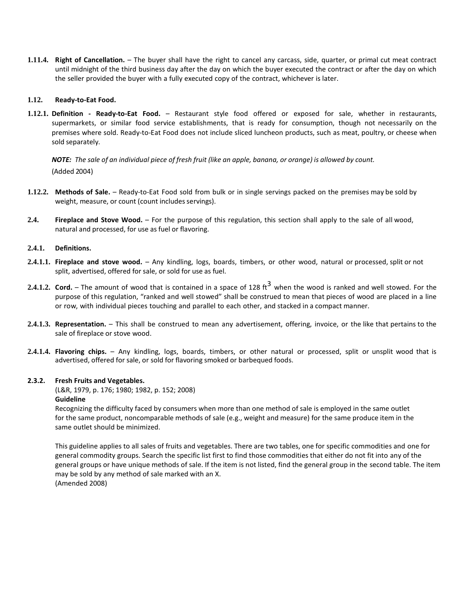**1.11.4. Right of Cancellation.** – The buyer shall have the right to cancel any carcass, side, quarter, or primal cut meat contract until midnight of the third business day after the day on which the buyer executed the contract or after the day on which the seller provided the buyer with a fully executed copy of the contract, whichever is later.

### **1.12. Ready-to-Eat Food.**

**1.12.1. Definition - Ready-to-Eat Food.** – Restaurant style food offered or exposed for sale, whether in restaurants, supermarkets, or similar food service establishments, that is ready for consumption, though not necessarily on the premises where sold. Ready-to-Eat Food does not include sliced luncheon products, such as meat, poultry, or cheese when sold separately.

NOTE: The sale of an individual piece of fresh fruit (like an apple, banana, or orange) is allowed by count. (Added 2004)

- **1.12.2. Methods of Sale.** Ready-to-Eat Food sold from bulk or in single servings packed on the premises may be sold by weight, measure, or count (count includes servings).
- **2.4. Fireplace and Stove Wood.** For the purpose of this regulation, this section shall apply to the sale of all wood, natural and processed, for use as fuel or flavoring.

#### **2.4.1. Definitions.**

- **2.4.1.1. Fireplace and stove wood.** Any kindling, logs, boards, timbers, or other wood, natural or processed, split or not split, advertised, offered for sale, or sold for use as fuel.
- **2.4.1.2. Cord.** The amount of wood that is contained in a space of 128 ft <sup>3</sup> when the wood is ranked and well stowed. For the purpose of this regulation, "ranked and well stowed" shall be construed to mean that pieces of wood are placed in a line or row, with individual pieces touching and parallel to each other, and stacked in a compact manner.
- **2.4.1.3. Representation.** This shall be construed to mean any advertisement, offering, invoice, or the like that pertains to the sale of fireplace or stove wood.
- **2.4.1.4. Flavoring chips.** Any kindling, logs, boards, timbers, or other natural or processed, split or unsplit wood that is advertised, offered for sale, or sold for flavoring smoked or barbequed foods.

#### **2.3.2. Fresh Fruits and Vegetables.**

(L&R, 1979, p. 176; 1980; 1982, p. 152; 2008) **Guideline**

Recognizing the difficulty faced by consumers when more than one method of sale is employed in the same outlet for the same product, noncomparable methods of sale (e.g., weight and measure) for the same produce item in the same outlet should be minimized.

This guideline applies to all sales of fruits and vegetables. There are two tables, one for specific commodities and one for general commodity groups. Search the specific list first to find those commodities that either do not fit into any of the general groups or have unique methods of sale. If the item is not listed, find the general group in the second table. The item may be sold by any method of sale marked with an X. (Amended 2008)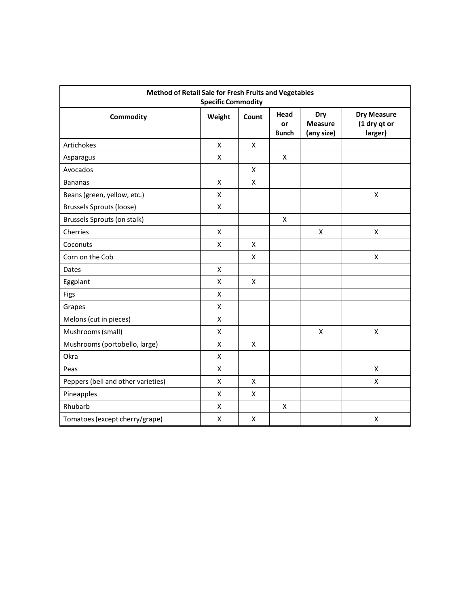| Method of Retail Sale for Fresh Fruits and Vegetables<br><b>Specific Commodity</b> |        |       |                            |                                     |                                               |  |  |  |  |
|------------------------------------------------------------------------------------|--------|-------|----------------------------|-------------------------------------|-----------------------------------------------|--|--|--|--|
| Commodity                                                                          | Weight | Count | Head<br>or<br><b>Bunch</b> | Dry<br><b>Measure</b><br>(any size) | <b>Dry Measure</b><br>(1 dry qt or<br>larger) |  |  |  |  |
| Artichokes                                                                         | X      | X     |                            |                                     |                                               |  |  |  |  |
| Asparagus                                                                          | X      |       | X                          |                                     |                                               |  |  |  |  |
| Avocados                                                                           |        | X     |                            |                                     |                                               |  |  |  |  |
| <b>Bananas</b>                                                                     | X      | X     |                            |                                     |                                               |  |  |  |  |
| Beans (green, yellow, etc.)                                                        | Χ      |       |                            |                                     | $\pmb{\mathsf{X}}$                            |  |  |  |  |
| <b>Brussels Sprouts (loose)</b>                                                    | Χ      |       |                            |                                     |                                               |  |  |  |  |
| Brussels Sprouts (on stalk)                                                        |        |       | X                          |                                     |                                               |  |  |  |  |
| Cherries                                                                           | X      |       |                            | X                                   | $\pmb{\mathsf{X}}$                            |  |  |  |  |
| Coconuts                                                                           | X      | X     |                            |                                     |                                               |  |  |  |  |
| Corn on the Cob                                                                    |        | X     |                            |                                     | X                                             |  |  |  |  |
| Dates                                                                              | X      |       |                            |                                     |                                               |  |  |  |  |
| Eggplant                                                                           | Χ      | X     |                            |                                     |                                               |  |  |  |  |
| Figs                                                                               | X      |       |                            |                                     |                                               |  |  |  |  |
| Grapes                                                                             | X      |       |                            |                                     |                                               |  |  |  |  |
| Melons (cut in pieces)                                                             | X      |       |                            |                                     |                                               |  |  |  |  |
| Mushrooms (small)                                                                  | X      |       |                            | X                                   | $\pmb{\mathsf{X}}$                            |  |  |  |  |
| Mushrooms (portobello, large)                                                      | X      | X     |                            |                                     |                                               |  |  |  |  |
| Okra                                                                               | X      |       |                            |                                     |                                               |  |  |  |  |
| Peas                                                                               | X      |       |                            |                                     | $\pmb{\mathsf{X}}$                            |  |  |  |  |
| Peppers (bell and other varieties)                                                 | X      | X     |                            |                                     | $\pmb{\mathsf{X}}$                            |  |  |  |  |
| Pineapples                                                                         | X      | X     |                            |                                     |                                               |  |  |  |  |
| Rhubarb                                                                            | Χ      |       | X                          |                                     |                                               |  |  |  |  |
| Tomatoes (except cherry/grape)                                                     | Χ      | X     |                            |                                     | $\pmb{\mathsf{X}}$                            |  |  |  |  |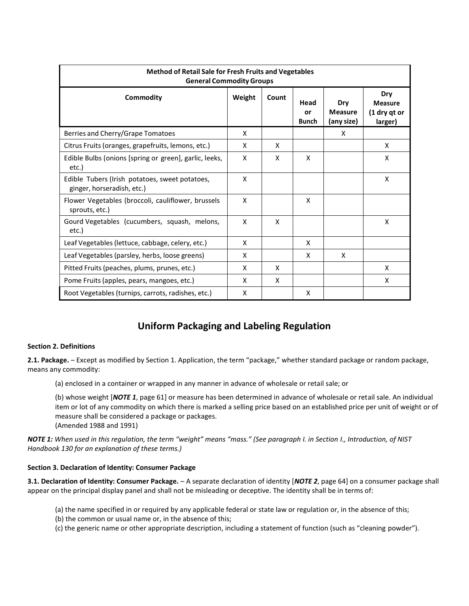| <b>Method of Retail Sale for Fresh Fruits and Vegetables</b><br><b>General Commodity Groups</b> |        |       |                            |                                     |                                                  |  |  |  |  |
|-------------------------------------------------------------------------------------------------|--------|-------|----------------------------|-------------------------------------|--------------------------------------------------|--|--|--|--|
| Commodity                                                                                       | Weight | Count | Head<br>or<br><b>Bunch</b> | Dry<br><b>Measure</b><br>(any size) | Dry<br><b>Measure</b><br>(1 dry qt or<br>larger) |  |  |  |  |
| Berries and Cherry/Grape Tomatoes                                                               | X      |       |                            | X                                   |                                                  |  |  |  |  |
| Citrus Fruits (oranges, grapefruits, lemons, etc.)                                              | X      | X     |                            |                                     | X                                                |  |  |  |  |
| Edible Bulbs (onions [spring or green], garlic, leeks,<br>etc.)                                 | X      | X     | X                          |                                     | X                                                |  |  |  |  |
| Edible Tubers (Irish potatoes, sweet potatoes,<br>ginger, horseradish, etc.)                    | X      |       |                            |                                     | X                                                |  |  |  |  |
| Flower Vegetables (broccoli, cauliflower, brussels<br>sprouts, etc.)                            | x      |       | X                          |                                     |                                                  |  |  |  |  |
| Gourd Vegetables (cucumbers, squash, melons,<br>etc.)                                           | X      | X     |                            |                                     | X                                                |  |  |  |  |
| Leaf Vegetables (lettuce, cabbage, celery, etc.)                                                | X      |       | X                          |                                     |                                                  |  |  |  |  |
| Leaf Vegetables (parsley, herbs, loose greens)                                                  | X      |       | x                          | x                                   |                                                  |  |  |  |  |
| Pitted Fruits (peaches, plums, prunes, etc.)                                                    | X      | X     |                            |                                     | X                                                |  |  |  |  |
| Pome Fruits (apples, pears, mangoes, etc.)                                                      | X      | X     |                            |                                     | X                                                |  |  |  |  |
| Root Vegetables (turnips, carrots, radishes, etc.)                                              | X      |       | X                          |                                     |                                                  |  |  |  |  |

# **Uniform Packaging and Labeling Regulation**

## **Section 2. Definitions**

**2.1. Package.** – Except as modified by Section 1. Application, the term "package," whether standard package or random package, means any commodity:

(a) enclosed in a container or wrapped in any manner in advance of wholesale or retail sale; or

(b) whose weight [*NOTE 1*, page 61] or measure has been determined in advance of wholesale or retail sale. An individual item or lot of any commodity on which there is marked a selling price based on an established price per unit of weight or of measure shall be considered a package or packages. (Amended 1988 and 1991)

*NOTE 1: When used in this regulation, the term "weight" means "mass." (See paragraph I. in Section I., Introduction, of NIST Handbook 130 for an explanation of these terms.)*

## **Section 3. Declaration of Identity: Consumer Package**

**3.1. Declaration of Identity: Consumer Package.** – A separate declaration of identity [*NOTE 2*, page 64] on a consumer package shall appear on the principal display panel and shall not be misleading or deceptive. The identity shall be in terms of:

- (a) the name specified in or required by any applicable federal or state law or regulation or, in the absence of this;
- (b) the common or usual name or, in the absence of this;
- (c) the generic name or other appropriate description, including a statement of function (such as "cleaning powder").